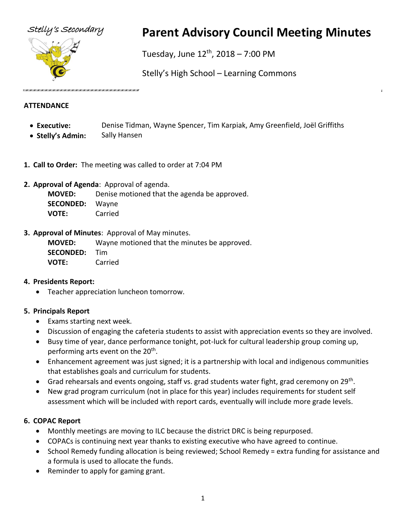



# Stelly's Secondary **Parent Advisory Council Meeting Minutes**

Tuesday, June  $12^{th}$ , 2018 – 7:00 PM

Stelly's High School – Learning Commons

## **ATTENDANCE**

- **Executive:** Denise Tidman, Wayne Spencer, Tim Karpiak, Amy Greenfield, Joël Griffiths
- **Stelly's Admin:** Sally Hansen
- **1. Call to Order:** The meeting was called to order at 7:04 PM
- **2. Approval of Agenda**: Approval of agenda.

**MOVED:** Denise motioned that the agenda be approved. **SECONDED:** Wayne **VOTE:** Carried

**3. Approval of Minutes**: Approval of May minutes.

**MOVED:** Wayne motioned that the minutes be approved. **SECONDED:** Tim **VOTE:** Carried

# **4. Presidents Report:**

• Teacher appreciation luncheon tomorrow.

# **5. Principals Report**

- Exams starting next week.
- Discussion of engaging the cafeteria students to assist with appreciation events so they are involved.
- Busy time of year, dance performance tonight, pot-luck for cultural leadership group coming up, performing arts event on the 20<sup>th</sup>.
- Enhancement agreement was just signed; it is a partnership with local and indigenous communities that establishes goals and curriculum for students.
- Grad rehearsals and events ongoing, staff vs. grad students water fight, grad ceremony on 29<sup>th</sup>.
- New grad program curriculum (not in place for this year) includes requirements for student self assessment which will be included with report cards, eventually will include more grade levels.

# **6. COPAC Report**

- Monthly meetings are moving to ILC because the district DRC is being repurposed.
- COPACs is continuing next year thanks to existing executive who have agreed to continue.
- School Remedy funding allocation is being reviewed; School Remedy = extra funding for assistance and a formula is used to allocate the funds.
- Reminder to apply for gaming grant.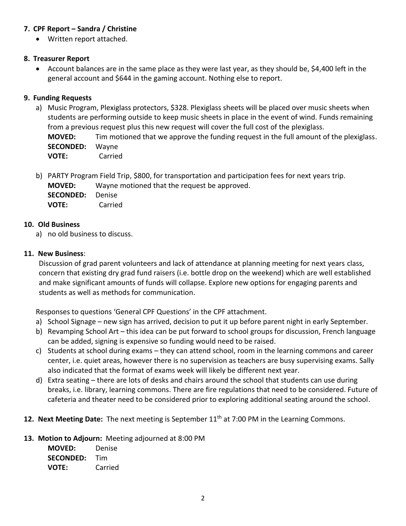## **7. CPF Report – Sandra / Christine**

• Written report attached.

### **8. Treasurer Report**

• Account balances are in the same place as they were last year, as they should be, \$4,400 left in the general account and \$644 in the gaming account. Nothing else to report.

## **9. Funding Requests**

- a) Music Program, Plexiglass protectors, \$328. Plexiglass sheets will be placed over music sheets when students are performing outside to keep music sheets in place in the event of wind. Funds remaining from a previous request plus this new request will cover the full cost of the plexiglass. **MOVED:** Tim motioned that we approve the funding request in the full amount of the plexiglass. **SECONDED:** Wayne **VOTE:** Carried
- b) PARTY Program Field Trip, \$800, for transportation and participation fees for next years trip. **MOVED:** Wayne motioned that the request be approved. **SECONDED:** Denise **VOTE:** Carried

### **10. Old Business**

a) no old business to discuss.

## **11. New Business**:

Discussion of grad parent volunteers and lack of attendance at planning meeting for next years class, concern that existing dry grad fund raisers (i.e. bottle drop on the weekend) which are well established and make significant amounts of funds will collapse. Explore new options for engaging parents and students as well as methods for communication.

Responses to questions 'General CPF Questions' in the CPF attachment.

- a) School Signage new sign has arrived, decision to put it up before parent night in early September.
- b) Revamping School Art this idea can be put forward to school groups for discussion, French language can be added, signing is expensive so funding would need to be raised.
- c) Students at school during exams they can attend school, room in the learning commons and career center, i.e. quiet areas, however there is no supervision as teachers are busy supervising exams. Sally also indicated that the format of exams week will likely be different next year.
- d) Extra seating there are lots of desks and chairs around the school that students can use during breaks, i.e. library, learning commons. There are fire regulations that need to be considered. Future of cafeteria and theater need to be considered prior to exploring additional seating around the school.
- 12. Next Meeting Date: The next meeting is September 11<sup>th</sup> at 7:00 PM in the Learning Commons.

### **13. Motion to Adjourn:** Meeting adjourned at 8:00 PM

**MOVED:** Denise **SECONDED:** Tim **VOTE:** Carried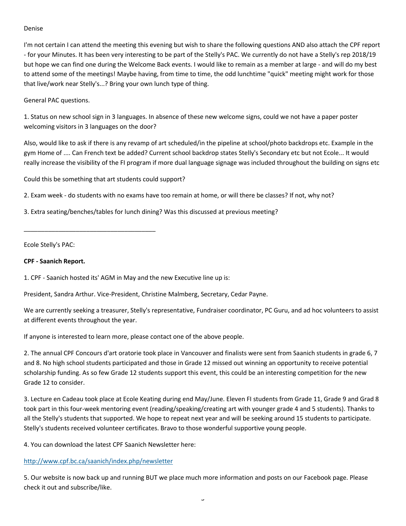#### Denise

I'm not certain I can attend the meeting this evening but wish to share the following questions AND also attach the CPF report - for your Minutes. It has been very interesting to be part of the Stelly's PAC. We currently do not have a Stelly's rep 2018/19 but hope we can find one during the Welcome Back events. I would like to remain as a member at large - and will do my best to attend some of the meetings! Maybe having, from time to time, the odd lunchtime "quick" meeting might work for those that live/work near Stelly's...? Bring your own lunch type of thing.

General PAC questions.

1. Status on new school sign in 3 languages. In absence of these new welcome signs, could we not have a paper poster welcoming visitors in 3 languages on the door?

Also, would like to ask if there is any revamp of art scheduled/in the pipeline at school/photo backdrops etc. Example in the gym Home of .... Can French text be added? Current school backdrop states Stelly's Secondary etc but not Ecole... It would really increase the visibility of the FI program if more dual language signage was included throughout the building on signs etc

Could this be something that art students could support?

\_\_\_\_\_\_\_\_\_\_\_\_\_\_\_\_\_\_\_\_\_\_\_\_\_\_\_\_\_\_\_\_\_\_\_\_\_\_

2. Exam week - do students with no exams have too remain at home, or will there be classes? If not, why not?

3. Extra seating/benches/tables for lunch dining? Was this discussed at previous meeting?

Ecole Stelly's PAC:

#### **CPF - Saanich Report.**

1. CPF - Saanich hosted its' AGM in May and the new Executive line up is:

President, Sandra Arthur. Vice-President, Christine Malmberg, Secretary, Cedar Payne.

We are currently seeking a treasurer, Stelly's representative, Fundraiser coordinator, PC Guru, and ad hoc volunteers to assist at different events throughout the year.

If anyone is interested to learn more, please contact one of the above people.

2. The annual CPF Concours d'art oratorie took place in Vancouver and finalists were sent from Saanich students in grade 6, 7 and 8. No high school students participated and those in Grade 12 missed out winning an opportunity to receive potential scholarship funding. As so few Grade 12 students support this event, this could be an interesting competition for the new Grade 12 to consider.

3. Lecture en Cadeau took place at Ecole Keating during end May/June. Eleven FI students from Grade 11, Grade 9 and Grad 8 took part in this four-week mentoring event (reading/speaking/creating art with younger grade 4 and 5 students). Thanks to all the Stelly's students that supported. We hope to repeat next year and will be seeking around 15 students to participate. Stelly's students received volunteer certificates. Bravo to those wonderful supportive young people.

4. You can download the latest CPF Saanich Newsletter here:

#### <http://www.cpf.bc.ca/saanich/index.php/newsletter>

5. Our website is now back up and running BUT we place much more information and posts on our Facebook page. Please check it out and subscribe/like.